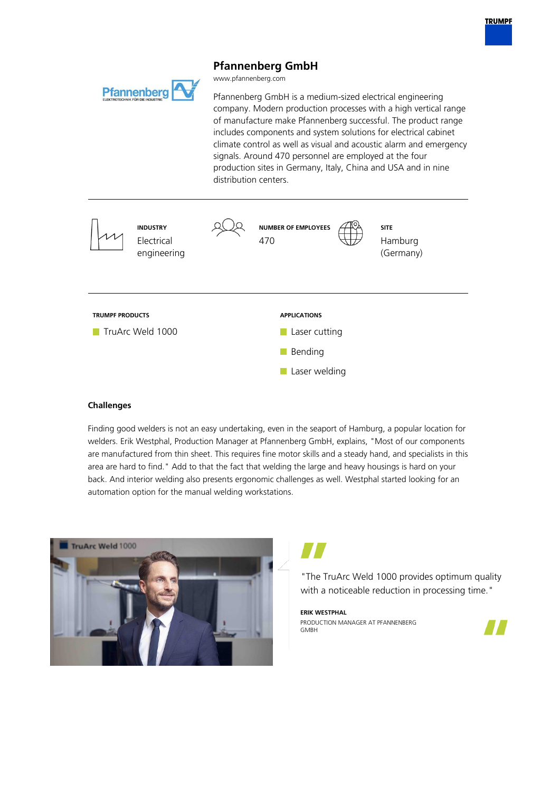# **Pfannenberg GmbH**

www.pfannenberg.com

Pfannenberg GmbH is a medium-sized electrical engineering company. Modern production processes with a high vertical range of manufacture make Pfannenberg successful. The product range includes components and system solutions for electrical cabinet climate control as well as visual and acoustic alarm and emergency signals. Around 470 personnel are employed at the four production sites in Germany, Italy, China and USA and in nine distribution centers.



## **Challenges**

**Pfannenberg** 

Finding good welders is not an easy undertaking, even in the seaport of Hamburg, a popular location for welders. Erik Westphal, Production Manager at Pfannenberg GmbH, explains, "Most of our components are manufactured from thin sheet. This requires fine motor skills and a steady hand, and specialists in this area are hard to find." Add to that the fact that welding the large and heavy housings is hard on your back. And interior welding also presents ergonomic challenges as well. Westphal started looking for an automation option for the manual welding workstations.





"The TruArc Weld 1000 provides optimum quality with a noticeable reduction in processing time."

**ERIK WESTPHAL** PRODUCTION MANAGER AT PFANNENBERG **GMBH**